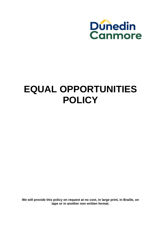

## **EQUAL OPPORTUNITIES POLICY**

**We will provide this policy on request at no cost, in large print, in Braille, on tape or in another non written format.**